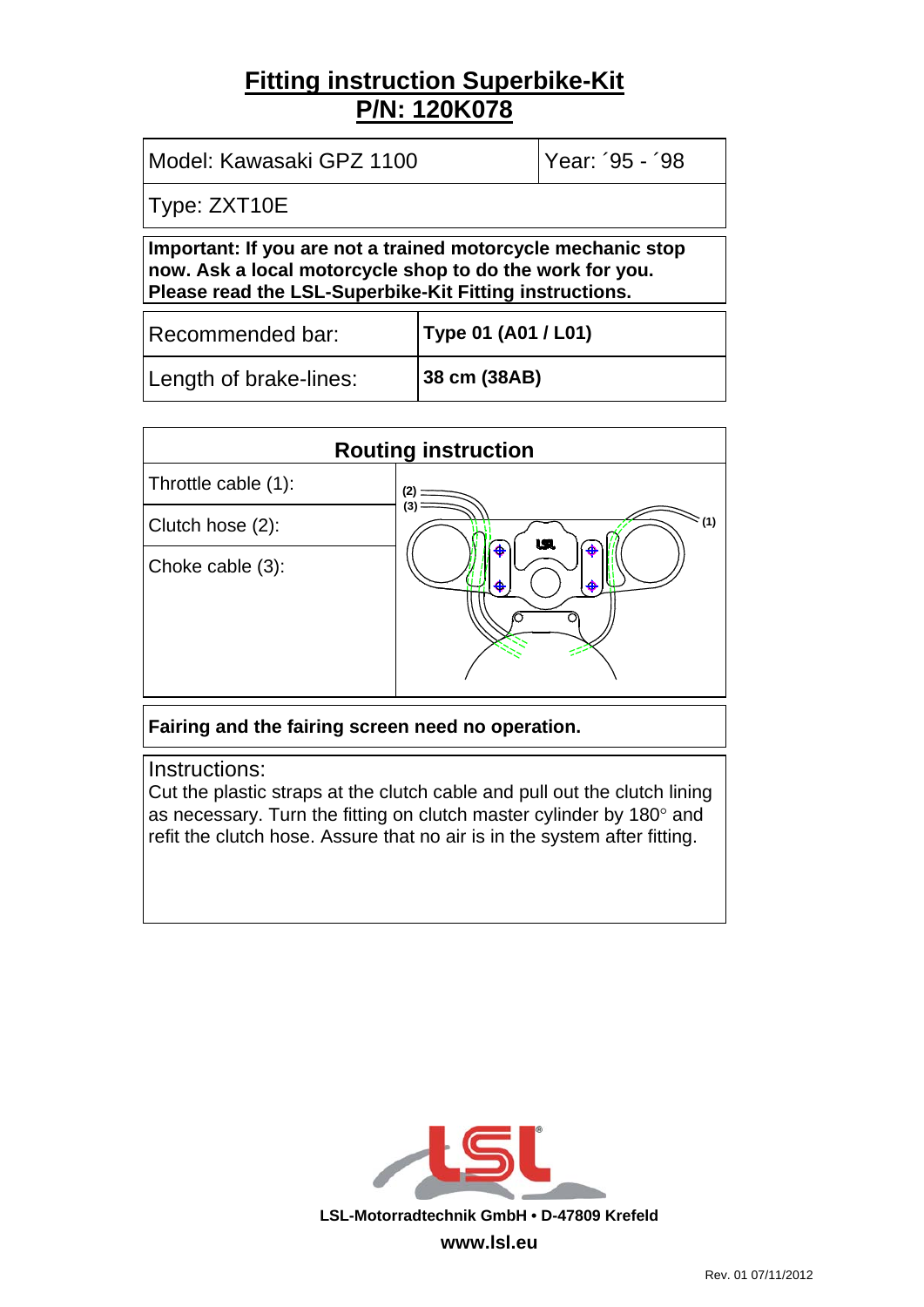## **Fitting instruction Superbike-Kit P/N: 120K078**

| Model: Kawasaki GPZ 1100                                                                                                                                                            |              | Year: '95 - '98     |  |  |
|-------------------------------------------------------------------------------------------------------------------------------------------------------------------------------------|--------------|---------------------|--|--|
| Type: ZXT10E                                                                                                                                                                        |              |                     |  |  |
| Important: If you are not a trained motorcycle mechanic stop<br>now. Ask a local motorcycle shop to do the work for you.<br>Please read the LSL-Superbike-Kit Fitting instructions. |              |                     |  |  |
| Recommended bar:                                                                                                                                                                    |              | Type 01 (A01 / L01) |  |  |
| Length of brake-lines:                                                                                                                                                              | 38 cm (38AB) |                     |  |  |

| <b>Routing instruction</b> |                     |  |  |
|----------------------------|---------------------|--|--|
| Throttle cable (1):        | 2                   |  |  |
| Clutch hose (2):           | (3<br>ີ (1)<br>USI. |  |  |
| Choke cable (3):           | ♠<br>æ<br>₳<br>♣    |  |  |

**Fairing and the fairing screen need no operation.** 

Instructions:

Cut the plastic straps at the clutch cable and pull out the clutch lining as necessary. Turn the fitting on clutch master cylinder by 180° and refit the clutch hose. Assure that no air is in the system after fitting.

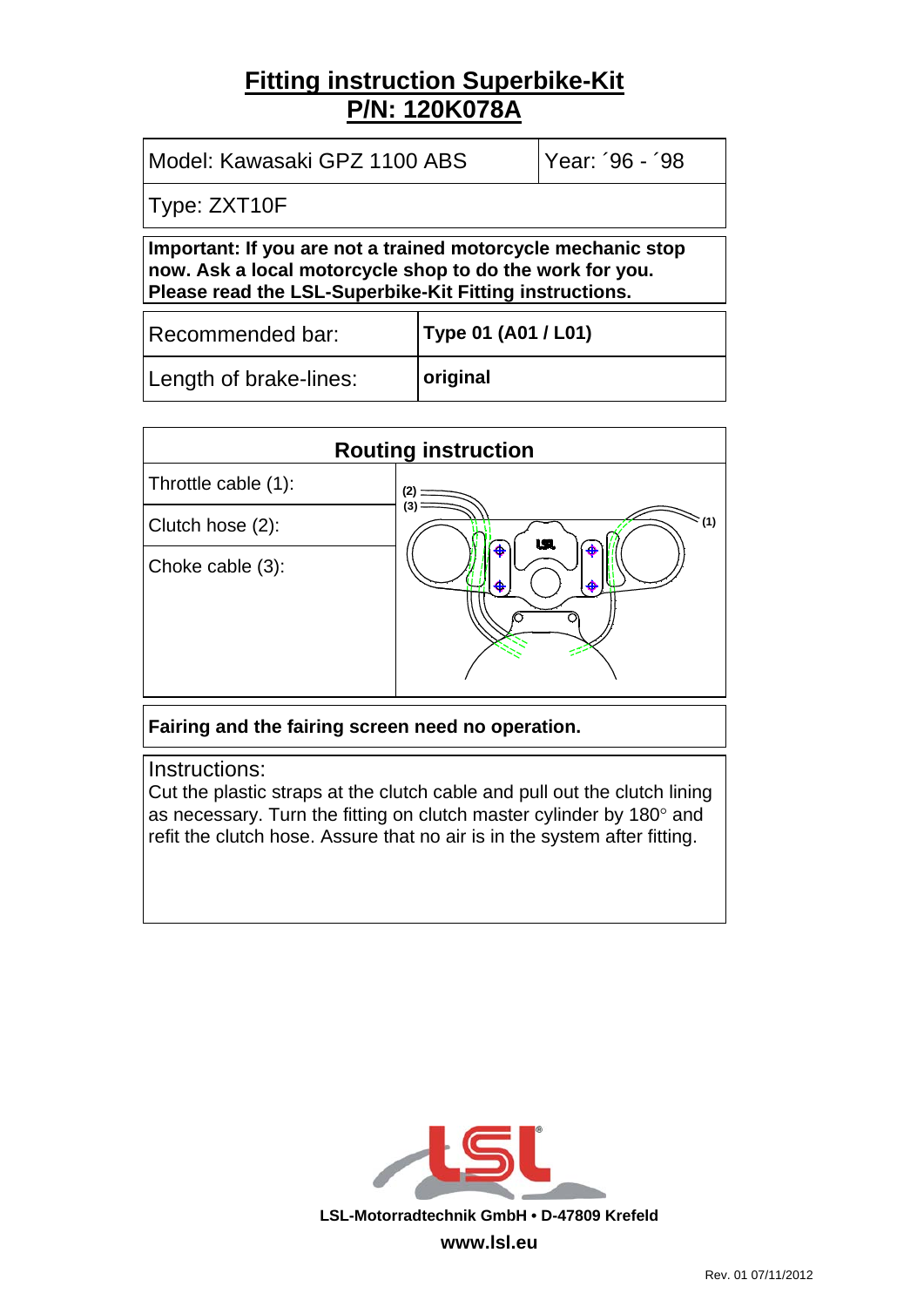## **Fitting instruction Superbike-Kit P/N: 120K078A**

| Year: '96 - '98<br>Model: Kawasaki GPZ 1100 ABS                                                                                                                                     |                     |  |  |  |
|-------------------------------------------------------------------------------------------------------------------------------------------------------------------------------------|---------------------|--|--|--|
| Type: ZXT10F                                                                                                                                                                        |                     |  |  |  |
| Important: If you are not a trained motorcycle mechanic stop<br>now. Ask a local motorcycle shop to do the work for you.<br>Please read the LSL-Superbike-Kit Fitting instructions. |                     |  |  |  |
| Recommended bar:                                                                                                                                                                    | Type 01 (A01 / L01) |  |  |  |
| Length of brake-lines:                                                                                                                                                              | original            |  |  |  |

| <b>Routing instruction</b> |                    |  |  |
|----------------------------|--------------------|--|--|
| Throttle cable (1):        | 12                 |  |  |
| Clutch hose (2):           | (3<br>~(1)<br>USI. |  |  |
| Choke cable (3):           | ♣<br>⊕<br>♣<br>⊕   |  |  |

**Fairing and the fairing screen need no operation.** 

Instructions:

Cut the plastic straps at the clutch cable and pull out the clutch lining as necessary. Turn the fitting on clutch master cylinder by 180° and refit the clutch hose. Assure that no air is in the system after fitting.